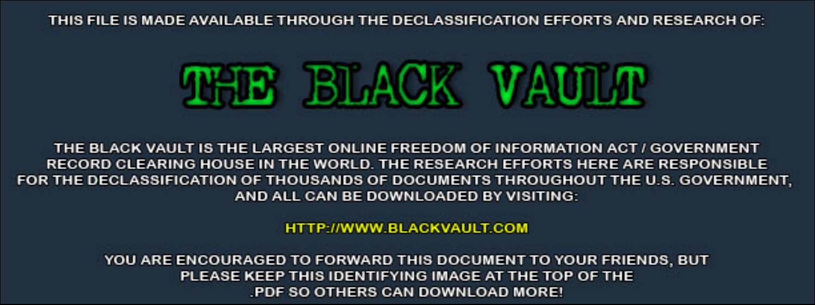THIS FILE IS MADE AVAILABLE THROUGH THE DECLASSIFICATION EFFORTS AND RESEARCH OF:



THE BLACK VAULT IS THE LARGEST ONLINE FREEDOM OF INFORMATION ACT / GOVERNMENT RECORD CLEARING HOUSE IN THE WORLD. THE RESEARCH EFFORTS HERE ARE RESPONSIBLE FOR THE DECLASSIFICATION OF THOUSANDS OF DOCUMENTS THROUGHOUT THE U.S. GOVERNMENT, AND ALL CAN BE DOWNLOADED BY VISITING:

**HTTP://WWW.BLACKVAULT.COM** 

YOU ARE ENCOURAGED TO FORWARD THIS DOCUMENT TO YOUR FRIENDS, BUT PLEASE KEEP THIS IDENTIFYING IMAGE AT THE TOP OF THE PDF SO OTHERS CAN DOWNLOAD MORE!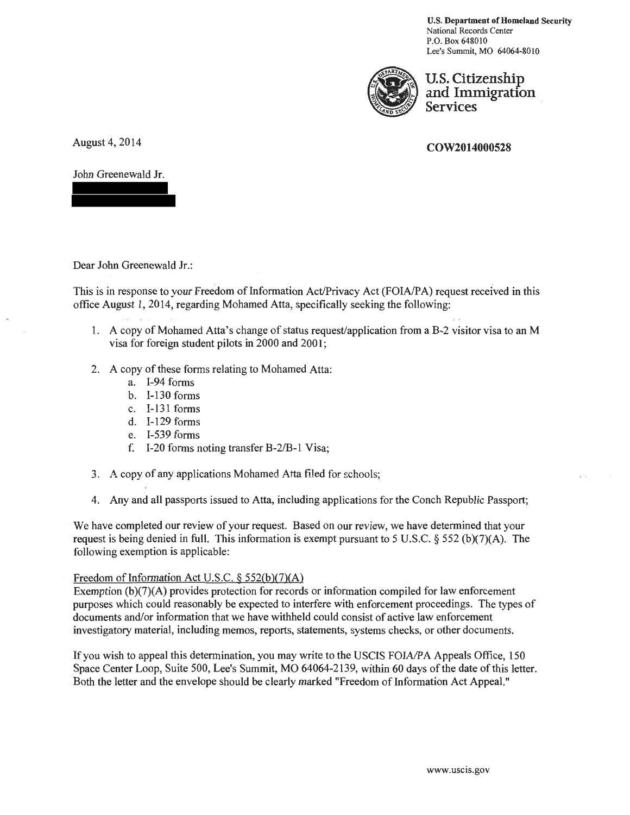U.S. Department of Homeland Security National Records Center P.O. Box 648010 Lee's Summit, MO 64064-8010



U.S. Citizenship and Immigration Services

## COW2014000528

August 4, 2014

John Greenewald Jr.

Dear John\_Greenewald Jr.:

This is in response to your Freedom of Information Act/Privacy Act (FOIAIPA) request received in this office August 1, 2014, regarding Mohamed Atta, specifically seeking the following:

- 1. A copy of Mohamed Atta's change of status request/application from a B-2 visitor visa to an M visa for foreign student pilots in 2000 and 2001;
- 2. A copy of these forms relating to Mohamed Atta:
	- a. I-94 forms
	- b. I-130 forms
	- c. I-131 forms
	- d. I-129 forms
	- e. I-539 forms
	- f. I-20 forms noting transfer B-2/B-1 Visa;
- 3. A copy of any applications Mohamed Atta filed for schools;
- 4. Any and all passports issued to Atta, including applications for the Conch Republic Passport;

We have completed our review of your request. Based on our review, we have determined that your request is being denied in full. This information is exempt pursuant to 5 U.S.C. § 552 (b)(7)(A). The following exemption is applicable:

## Freedom of Information Act U.S.C.  $\S$  552(b)(7)(A)

Exemption  $(b)(7)(A)$  provides protection for records or information compiled for law enforcement purposes which could reasonably be expected to interfere with enforcement proceedings. The types of documents and/or information that we have withheld could consist of active law enforcement investigatory material, including memos, reports, statements, systems checks, or other documents.

If you wish to appeal this determination, you may write to the USCIS FOIA/PA Appeals Office, 150 Space Center Loop, Suite 500, Lee's Summit, MO 64064-2139, within 60 days of the date of this letter. Both the letter and the envelope should be clearly marked "Freedom of Information Act Appeal."